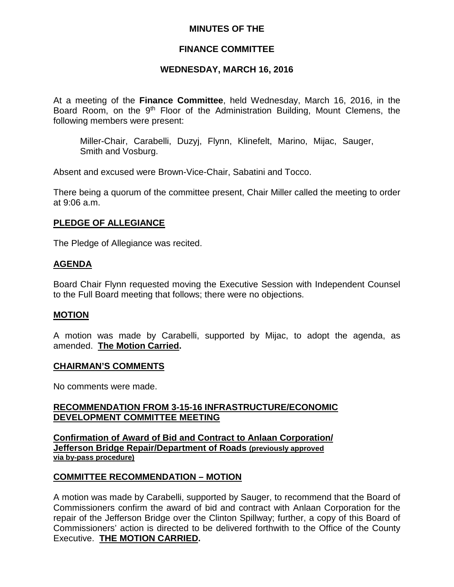# **MINUTES OF THE**

# **FINANCE COMMITTEE**

### **WEDNESDAY, MARCH 16, 2016**

At a meeting of the **Finance Committee**, held Wednesday, March 16, 2016, in the Board Room, on the 9<sup>th</sup> Floor of the Administration Building, Mount Clemens, the following members were present:

Miller-Chair, Carabelli, Duzyj, Flynn, Klinefelt, Marino, Mijac, Sauger, Smith and Vosburg.

Absent and excused were Brown-Vice-Chair, Sabatini and Tocco.

There being a quorum of the committee present, Chair Miller called the meeting to order at 9:06 a.m.

### **PLEDGE OF ALLEGIANCE**

The Pledge of Allegiance was recited.

### **AGENDA**

Board Chair Flynn requested moving the Executive Session with Independent Counsel to the Full Board meeting that follows; there were no objections.

#### **MOTION**

A motion was made by Carabelli, supported by Mijac, to adopt the agenda, as amended. **The Motion Carried.**

#### **CHAIRMAN'S COMMENTS**

No comments were made.

### **RECOMMENDATION FROM 3-15-16 INFRASTRUCTURE/ECONOMIC DEVELOPMENT COMMITTEE MEETING**

**Confirmation of Award of Bid and Contract to Anlaan Corporation/ Jefferson Bridge Repair/Department of Roads (previously approved via by-pass procedure)**

#### **COMMITTEE RECOMMENDATION – MOTION**

A motion was made by Carabelli, supported by Sauger, to recommend that the Board of Commissioners confirm the award of bid and contract with Anlaan Corporation for the repair of the Jefferson Bridge over the Clinton Spillway; further, a copy of this Board of Commissioners' action is directed to be delivered forthwith to the Office of the County Executive. **THE MOTION CARRIED.**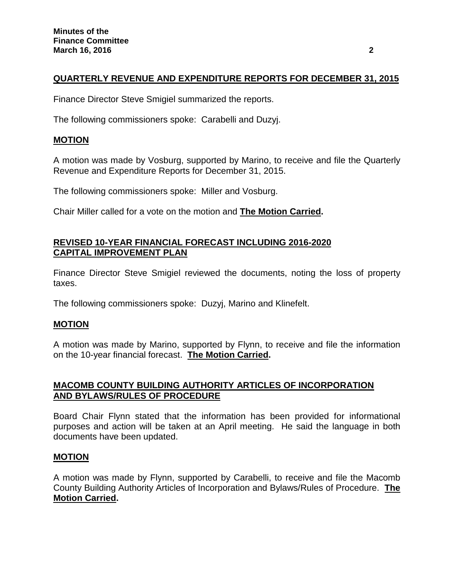# **QUARTERLY REVENUE AND EXPENDITURE REPORTS FOR DECEMBER 31, 2015**

Finance Director Steve Smigiel summarized the reports.

The following commissioners spoke: Carabelli and Duzyj.

# **MOTION**

A motion was made by Vosburg, supported by Marino, to receive and file the Quarterly Revenue and Expenditure Reports for December 31, 2015.

The following commissioners spoke: Miller and Vosburg.

Chair Miller called for a vote on the motion and **The Motion Carried.**

# **REVISED 10-YEAR FINANCIAL FORECAST INCLUDING 2016-2020 CAPITAL IMPROVEMENT PLAN**

Finance Director Steve Smigiel reviewed the documents, noting the loss of property taxes.

The following commissioners spoke: Duzyj, Marino and Klinefelt.

#### **MOTION**

A motion was made by Marino, supported by Flynn, to receive and file the information on the 10-year financial forecast. **The Motion Carried.**

# **MACOMB COUNTY BUILDING AUTHORITY ARTICLES OF INCORPORATION AND BYLAWS/RULES OF PROCEDURE**

Board Chair Flynn stated that the information has been provided for informational purposes and action will be taken at an April meeting. He said the language in both documents have been updated.

#### **MOTION**

A motion was made by Flynn, supported by Carabelli, to receive and file the Macomb County Building Authority Articles of Incorporation and Bylaws/Rules of Procedure. **The Motion Carried.**